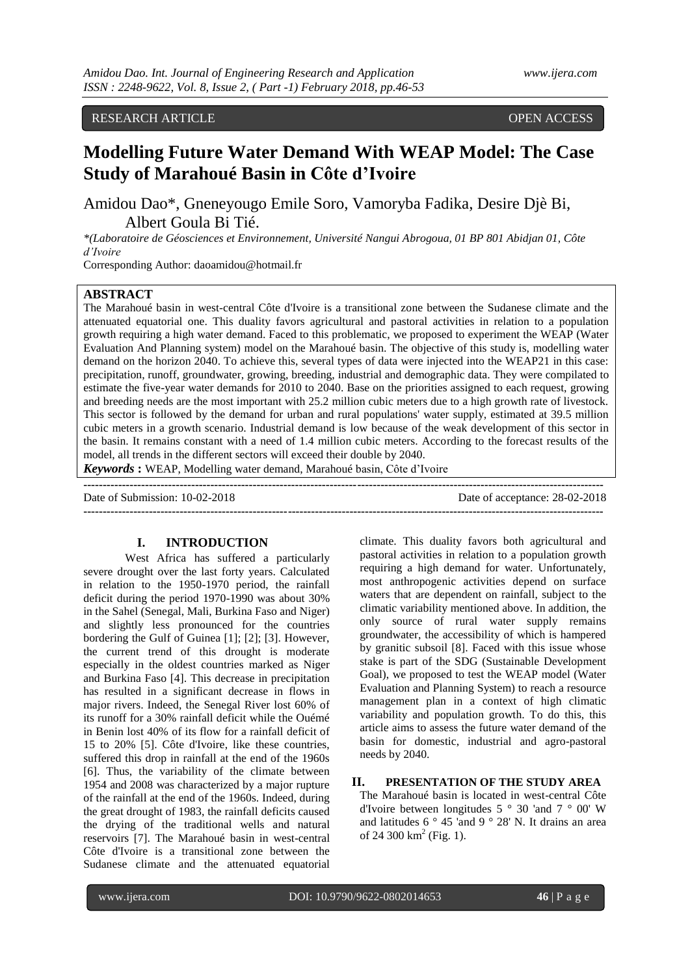## RESEARCH ARTICLE OPEN ACCESS

# **Modelling Future Water Demand With WEAP Model: The Case Study of Marahoué Basin in Côte d'Ivoire**

Amidou Dao\*, Gneneyougo Emile Soro, Vamoryba Fadika, Desire Djè Bi, Albert Goula Bi Tié.

*\*(Laboratoire de Géosciences et Environnement, Université Nangui Abrogoua, 01 BP 801 Abidjan 01, Côte d'Ivoire*

Corresponding Author: daoamidou@hotmail.fr

### **ABSTRACT**

The Marahoué basin in west-central Côte d'Ivoire is a transitional zone between the Sudanese climate and the attenuated equatorial one. This duality favors agricultural and pastoral activities in relation to a population growth requiring a high water demand. Faced to this problematic, we proposed to experiment the WEAP (Water Evaluation And Planning system) model on the Marahoué basin. The objective of this study is, modelling water demand on the horizon 2040. To achieve this, several types of data were injected into the WEAP21 in this case: precipitation, runoff, groundwater, growing, breeding, industrial and demographic data. They were compilated to estimate the five-year water demands for 2010 to 2040. Base on the priorities assigned to each request, growing and breeding needs are the most important with 25.2 million cubic meters due to a high growth rate of livestock. This sector is followed by the demand for urban and rural populations' water supply, estimated at 39.5 million cubic meters in a growth scenario. Industrial demand is low because of the weak development of this sector in the basin. It remains constant with a need of 1.4 million cubic meters. According to the forecast results of the model, all trends in the different sectors will exceed their double by 2040.

*Keywords* **:** WEAP, Modelling water demand, Marahoué basin, Côte d'Ivoire

**---------------------------------------------------------------------------------------------------------------------------------------** Date of Submission: 10-02-2018 Date of acceptance: 28-02-2018 **---------------------------------------------------------------------------------------------------------------------------------------**

## **I. INTRODUCTION**

West Africa has suffered a particularly severe drought over the last forty years. Calculated in relation to the 1950-1970 period, the rainfall deficit during the period 1970-1990 was about 30% in the Sahel (Senegal, Mali, Burkina Faso and Niger) and slightly less pronounced for the countries bordering the Gulf of Guinea [1]; [2]; [3]. However, the current trend of this drought is moderate especially in the oldest countries marked as Niger and Burkina Faso [4]. This decrease in precipitation has resulted in a significant decrease in flows in major rivers. Indeed, the Senegal River lost 60% of its runoff for a 30% rainfall deficit while the Ouémé in Benin lost 40% of its flow for a rainfall deficit of 15 to 20% [5]. Côte d'Ivoire, like these countries, suffered this drop in rainfall at the end of the 1960s [6]. Thus, the variability of the climate between 1954 and 2008 was characterized by a major rupture of the rainfall at the end of the 1960s. Indeed, during the great drought of 1983, the rainfall deficits caused the drying of the traditional wells and natural reservoirs [7]. The Marahoué basin in west-central Côte d'Ivoire is a transitional zone between the Sudanese climate and the attenuated equatorial

climate. This duality favors both agricultural and pastoral activities in relation to a population growth requiring a high demand for water. Unfortunately, most anthropogenic activities depend on surface waters that are dependent on rainfall, subject to the climatic variability mentioned above. In addition, the only source of rural water supply remains groundwater, the accessibility of which is hampered by granitic subsoil [8]. Faced with this issue whose stake is part of the SDG (Sustainable Development Goal), we proposed to test the WEAP model (Water Evaluation and Planning System) to reach a resource management plan in a context of high climatic variability and population growth. To do this, this article aims to assess the future water demand of the basin for domestic, industrial and agro-pastoral needs by 2040.

## **II. PRESENTATION OF THE STUDY AREA**

The Marahoué basin is located in west-central Côte d'Ivoire between longitudes 5 ° 30 'and 7 ° 00' W and latitudes 6 ° 45 'and 9 ° 28' N. It drains an area of 24 300  $km^2$  (Fig. 1).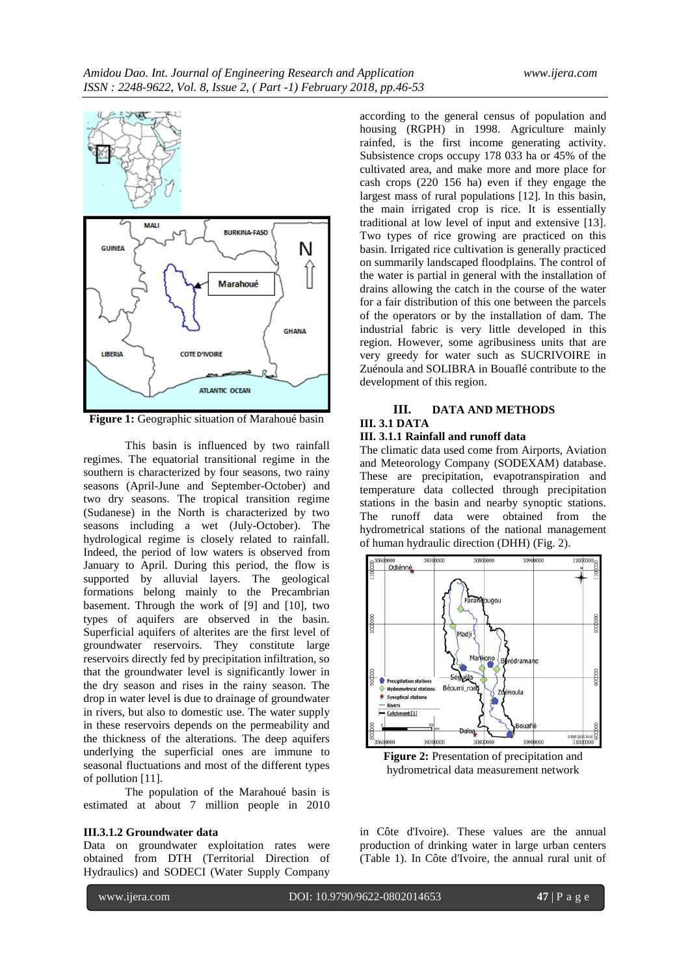

**Figure 1:** Geographic situation of Marahoué basin

This basin is influenced by two rainfall regimes. The equatorial transitional regime in the southern is characterized by four seasons, two rainy seasons (April-June and September-October) and two dry seasons. The tropical transition regime (Sudanese) in the North is characterized by two seasons including a wet (July-October). The hydrological regime is closely related to rainfall. Indeed, the period of low waters is observed from January to April. During this period, the flow is supported by alluvial layers. The geological formations belong mainly to the Precambrian basement. Through the work of [9] and [10], two types of aquifers are observed in the basin. Superficial aquifers of alterites are the first level of groundwater reservoirs. They constitute large reservoirs directly fed by precipitation infiltration, so that the groundwater level is significantly lower in the dry season and rises in the rainy season. The drop in water level is due to drainage of groundwater in rivers, but also to domestic use. The water supply in these reservoirs depends on the permeability and the thickness of the alterations. The deep aquifers underlying the superficial ones are immune to seasonal fluctuations and most of the different types of pollution [11].

The population of the Marahoué basin is estimated at about 7 million people in 2010

#### **III.3.1.2 Groundwater data**

Data on groundwater exploitation rates were obtained from DTH (Territorial Direction of Hydraulics) and SODECI (Water Supply Company

according to the general census of population and housing (RGPH) in 1998. Agriculture mainly rainfed, is the first income generating activity. Subsistence crops occupy 178 033 ha or 45% of the cultivated area, and make more and more place for cash crops (220 156 ha) even if they engage the largest mass of rural populations [12]. In this basin, the main irrigated crop is rice. It is essentially traditional at low level of input and extensive [13]. Two types of rice growing are practiced on this basin. Irrigated rice cultivation is generally practiced on summarily landscaped floodplains. The control of the water is partial in general with the installation of drains allowing the catch in the course of the water for a fair distribution of this one between the parcels of the operators or by the installation of dam. The industrial fabric is very little developed in this region. However, some agribusiness units that are very greedy for water such as SUCRIVOIRE in Zuénoula and SOLIBRA in Bouaflé contribute to the development of this region.

## **III. DATA AND METHODS III. 3.1 DATA**

# **III. 3.1.1 Rainfall and runoff data**

The climatic data used come from Airports, Aviation and Meteorology Company (SODEXAM) database. These are precipitation, evapotranspiration and temperature data collected through precipitation stations in the basin and nearby synoptic stations. The runoff data were obtained from the hydrometrical stations of the national management of human hydraulic direction (DHH) (Fig. 2).



**Figure 2:** Presentation of precipitation and hydrometrical data measurement network

in Côte d'Ivoire). These values are the annual production of drinking water in large urban centers (Table 1). In Côte d'Ivoire, the annual rural unit of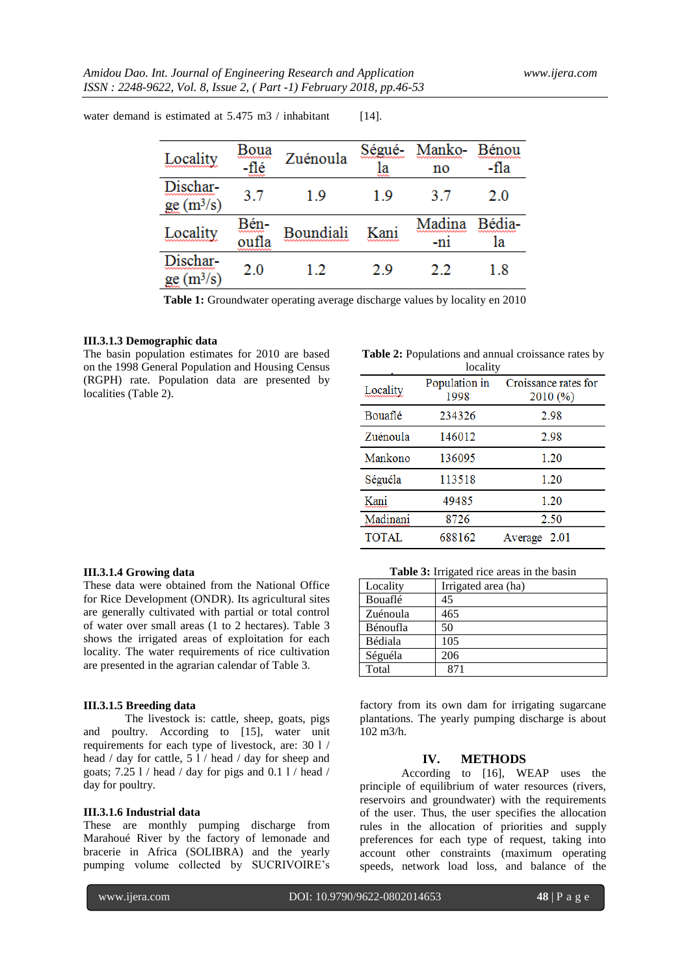water demand is estimated at  $5.475 \text{ m}3$  / inhabitant [14].

| ocality                                                          | она<br>,,,,,,,,,,,,,,<br>flé<br><b>www.</b> | Zuénoula                   | чė-<br><b><i><u>SANARANANANA</u></i></b><br>la<br>ww | ,,,,,,,,,,,,,,,,,,,<br>no      | Rénou<br>,,,,,,,,,,,,,,,,,,<br>-fla |  |
|------------------------------------------------------------------|---------------------------------------------|----------------------------|------------------------------------------------------|--------------------------------|-------------------------------------|--|
| ischar-<br>wwwwww<br>$\underline{\text{ge}}$ (m <sup>3</sup> /s) | 3.7                                         | 1.9                        | 1.9                                                  | 3.7                            | 2.0                                 |  |
| ocality                                                          | Bén-<br>wwww<br>∙ıfla<br>,,,,,,,,,,,,,,     | ,,,,,,,,,,,,,,,,,,,,,,,,,, | anı<br>maaanaan                                      | <u>www.www.www.</u><br>٠<br>-m | ,,,,,,,,,,,,,,,,,<br>ıa             |  |
| ,,,,,,,,,,,,,,,,,,,<br>$\rm (m^3/s)$                             | 2.0                                         | 1.2                        | 2.9                                                  | 2.2                            | 1.8                                 |  |

**Table 1:** Groundwater operating average discharge values by locality en 2010

#### **III.3.1.3 Demographic data**

The basin population estimates for 2010 are based on the 1998 General Population and Housing Census (RGPH) rate. Population data are presented by localities (Table 2).

**Table 2:** Populations and annual croissance rates by

| locality     |                       |                                  |  |  |  |
|--------------|-----------------------|----------------------------------|--|--|--|
| Locality     | Population in<br>1998 | Croissance rates for<br>2010 (%) |  |  |  |
| Bouaflé      | 234326                | 2.98                             |  |  |  |
| Zuénoula     | 146012                | 2.98                             |  |  |  |
| Mankono      | 136095                | 1.20                             |  |  |  |
| Séguéla      | 113518                | 1.20                             |  |  |  |
| Kani         | 49485                 | 1.20                             |  |  |  |
| Madinani     | 8726                  | 2.50                             |  |  |  |
| <b>TOTAL</b> | 688162                | Average<br>2.01                  |  |  |  |

#### **III.3.1.4 Growing data**

These data were obtained from the National Office for Rice Development (ONDR). Its agricultural sites are generally cultivated with partial or total control of water over small areas (1 to 2 hectares). Table 3 shows the irrigated areas of exploitation for each locality. The water requirements of rice cultivation are presented in the agrarian calendar of Table 3.

#### **III.3.1.5 Breeding data**

The livestock is: cattle, sheep, goats, pigs and poultry. According to [15], water unit requirements for each type of livestock, are: 30 l / head / day for cattle, 5 l / head / day for sheep and goats;  $7.25$  l / head / day for pigs and  $0.1$  l / head / day for poultry.

#### **III.3.1.6 Industrial data**

These are monthly pumping discharge from Marahoué River by the factory of lemonade and bracerie in Africa (SOLIBRA) and the yearly pumping volume collected by SUCRIVOIRE's **Table 3:** Irrigated rice areas in the basin

| Locality | Irrigated area (ha) |  |  |
|----------|---------------------|--|--|
| Bouaflé  | 45                  |  |  |
| Zuénoula | 465                 |  |  |
| Bénoufla | 50                  |  |  |
| Bédiala  | 105                 |  |  |
| Séguéla  | 206                 |  |  |
| Total    | 871                 |  |  |

factory from its own dam for irrigating sugarcane plantations. The yearly pumping discharge is about 102 m3/h.

#### **IV. METHODS**

According to [16], WEAP uses the principle of equilibrium of water resources (rivers, reservoirs and groundwater) with the requirements of the user. Thus, the user specifies the allocation rules in the allocation of priorities and supply preferences for each type of request, taking into account other constraints (maximum operating speeds, network load loss, and balance of the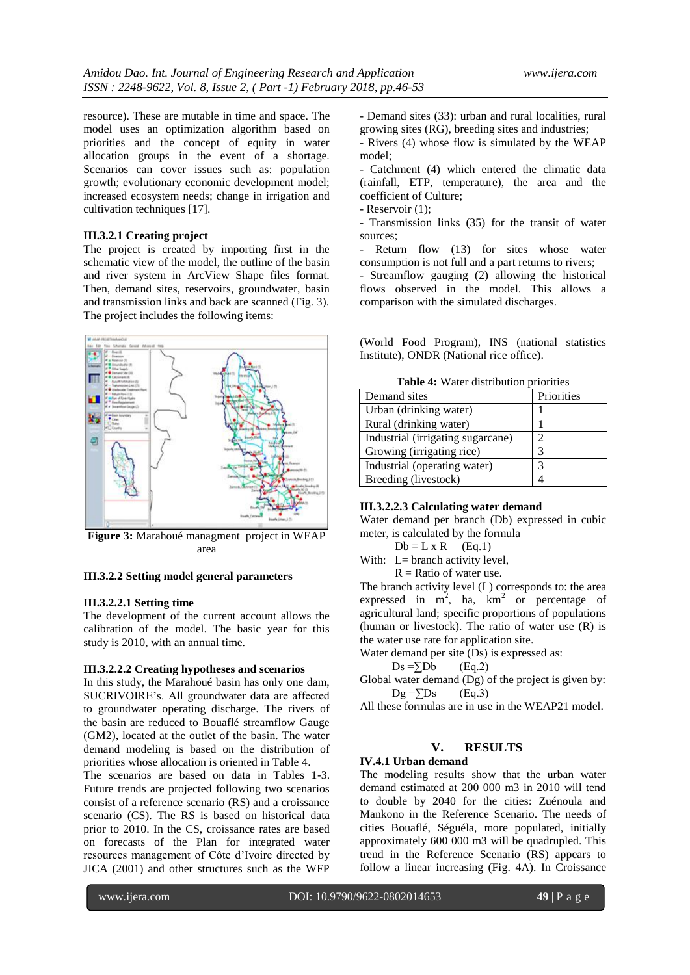resource). These are mutable in time and space. The model uses an optimization algorithm based on priorities and the concept of equity in water allocation groups in the event of a shortage. Scenarios can cover issues such as: population growth; evolutionary economic development model; increased ecosystem needs; change in irrigation and cultivation techniques [17].

#### **III.3.2.1 Creating project**

The project is created by importing first in the schematic view of the model, the outline of the basin and river system in ArcView Shape files format. Then, demand sites, reservoirs, groundwater, basin and transmission links and back are scanned (Fig. 3). The project includes the following items:



**Figure 3:** Marahoué managment project in WEAP area

## **III.3.2.2 Setting model general parameters**

## **III.3.2.2.1 Setting time**

The development of the current account allows the calibration of the model. The basic year for this study is 2010, with an annual time.

## **III.3.2.2.2 Creating hypotheses and scenarios**

In this study, the Marahoué basin has only one dam, SUCRIVOIRE's. All groundwater data are affected to groundwater operating discharge. The rivers of the basin are reduced to Bouaflé streamflow Gauge (GM2), located at the outlet of the basin. The water demand modeling is based on the distribution of priorities whose allocation is oriented in Table 4.

The scenarios are based on data in Tables 1-3. Future trends are projected following two scenarios consist of a reference scenario (RS) and a croissance scenario (CS). The RS is based on historical data prior to 2010. In the CS, croissance rates are based on forecasts of the Plan for integrated water resources management of Côte d'Ivoire directed by JICA (2001) and other structures such as the WFP

- Demand sites (33): urban and rural localities, rural growing sites (RG), breeding sites and industries;

- Rivers (4) whose flow is simulated by the WEAP model;

- Catchment (4) which entered the climatic data (rainfall, ETP, temperature), the area and the coefficient of Culture;

- Reservoir (1);

- Transmission links (35) for the transit of water sources;

- Return flow (13) for sites whose water consumption is not full and a part returns to rivers;

- Streamflow gauging (2) allowing the historical flows observed in the model. This allows a comparison with the simulated discharges.

(World Food Program), INS (national statistics Institute), ONDR (National rice office).

| <b>Table 4:</b> Water distribution priorities |  |
|-----------------------------------------------|--|
|-----------------------------------------------|--|

| Demand sites                      | Priorities |  |  |  |  |
|-----------------------------------|------------|--|--|--|--|
| Urban (drinking water)            |            |  |  |  |  |
| Rural (drinking water)            |            |  |  |  |  |
| Industrial (irrigating sugarcane) |            |  |  |  |  |
| Growing (irrigating rice)         | 3          |  |  |  |  |
| Industrial (operating water)      | 2          |  |  |  |  |
| Breeding (livestock)              |            |  |  |  |  |

#### **III.3.2.2.3 Calculating water demand**

Water demand per branch (Db) expressed in cubic meter, is calculated by the formula

 $Db = L \times R$  (Eq.1)

With: L= branch activity level,

 $R =$  Ratio of water use.

The branch activity level (L) corresponds to: the area expressed in  $m^2$ , ha,  $km^2$  or percentage of agricultural land; specific proportions of populations (human or livestock). The ratio of water use (R) is the water use rate for application site.

Water demand per site (Ds) is expressed as:

- $Ds = \sum Db$  (Eq.2)
- Global water demand (Dg) of the project is given by:  $Dg = \sum Ds$  (Eq.3)

All these formulas are in use in the WEAP21 model.

## **V. RESULTS**

### **IV.4.1 Urban demand**

The modeling results show that the urban water demand estimated at 200 000 m3 in 2010 will tend to double by 2040 for the cities: Zuénoula and Mankono in the Reference Scenario. The needs of cities Bouaflé, Séguéla, more populated, initially approximately 600 000 m3 will be quadrupled. This trend in the Reference Scenario (RS) appears to follow a linear increasing (Fig. 4A). In Croissance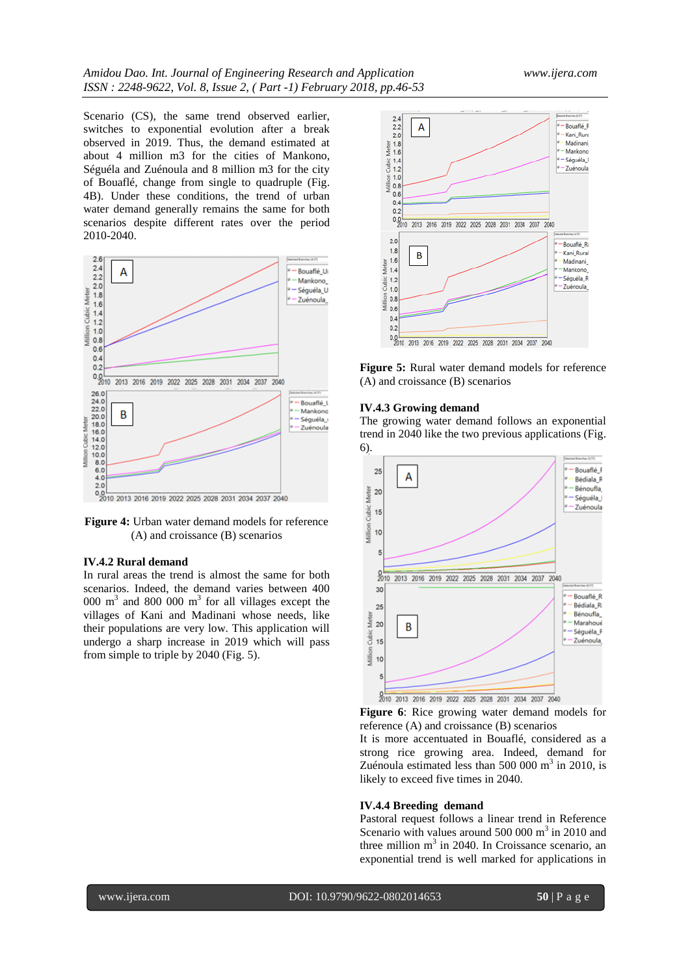Scenario (CS), the same trend observed earlier, switches to exponential evolution after a break observed in 2019. Thus, the demand estimated at about 4 million m3 for the cities of Mankono, Séguéla and Zuénoula and 8 million m3 for the city of Bouaflé, change from single to quadruple (Fig. 4B). Under these conditions, the trend of urban water demand generally remains the same for both scenarios despite different rates over the period 2010-2040.



**Figure 4:** Urban water demand models for reference (A) and croissance (B) scenarios

#### **IV.4.2 Rural demand**

In rural areas the trend is almost the same for both scenarios. Indeed, the demand varies between 400 000  $m<sup>3</sup>$  and 800 000  $m<sup>3</sup>$  for all villages except the villages of Kani and Madinani whose needs, like their populations are very low. This application will undergo a sharp increase in 2019 which will pass from simple to triple by 2040 (Fig. 5).



**Figure 5:** Rural water demand models for reference (A) and croissance (B) scenarios

#### **IV.4.3 Growing demand**

The growing water demand follows an exponential trend in 2040 like the two previous applications (Fig. 6).



**Figure 6**: Rice growing water demand models for reference (A) and croissance (B) scenarios

It is more accentuated in Bouaflé, considered as a strong rice growing area. Indeed, demand for Zuénoula estimated less than 500 000  $m<sup>3</sup>$  in 2010, is likely to exceed five times in 2040.

#### **IV.4.4 Breeding demand**

Pastoral request follows a linear trend in Reference Scenario with values around  $500 000 \text{ m}^3$  in 2010 and three million  $m<sup>3</sup>$  in 2040. In Croissance scenario, an exponential trend is well marked for applications in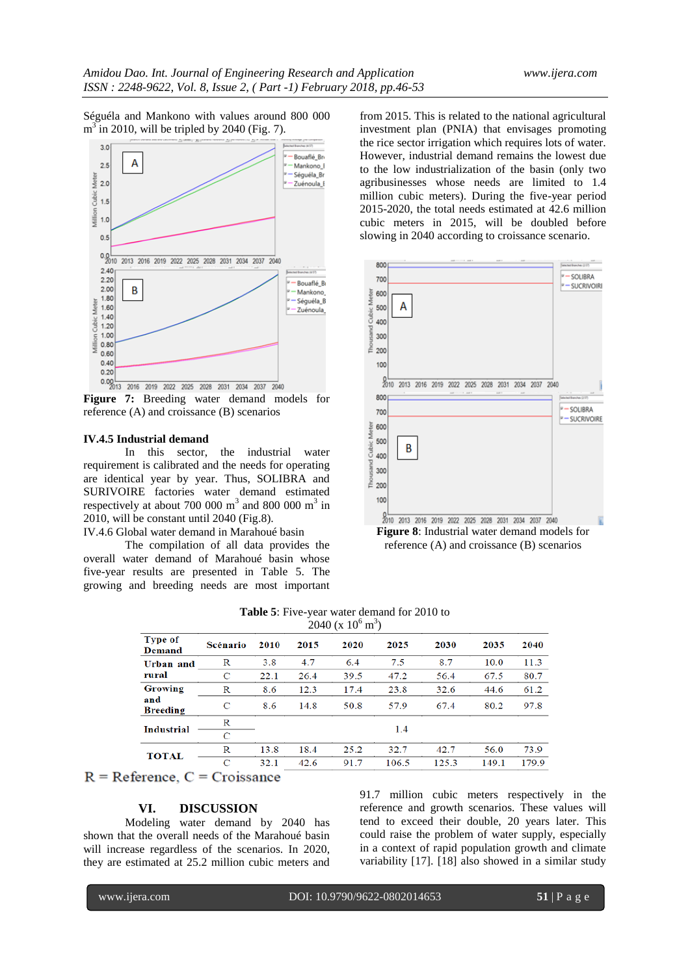Séguéla and Mankono with values around 800 000  $m<sup>3</sup>$  in 2010, will be tripled by 2040 (Fig. 7).



reference (A) and croissance (B) scenarios

#### **IV.4.5 Industrial demand**

In this sector, the industrial water requirement is calibrated and the needs for operating are identical year by year. Thus, SOLIBRA and SURIVOIRE factories water demand estimated respectively at about 700 000  $\text{m}^3$  and 800 000  $\text{m}^3$  in 2010, will be constant until 2040 (Fig.8).

IV.4.6 Global water demand in Marahoué basin

The compilation of all data provides the overall water demand of Marahoué basin whose five-year results are presented in Table 5. The growing and breeding needs are most important from 2015. This is related to the national agricultural investment plan (PNIA) that envisages promoting the rice sector irrigation which requires lots of water. However, industrial demand remains the lowest due to the low industrialization of the basin (only two agribusinesses whose needs are limited to 1.4 million cubic meters). During the five-year period 2015-2020, the total needs estimated at 42.6 million cubic meters in 2015, will be doubled before slowing in 2040 according to croissance scenario.



**Figure 8**: Industrial water demand models for reference (A) and croissance (B) scenarios

| <b>Table 5:</b> Five-year water demand for 2010 to |  |  |  |  |
|----------------------------------------------------|--|--|--|--|
| 2040 (x $10^6$ m <sup>3</sup> )                    |  |  |  |  |

| <b>Type of</b><br>Demand | Scénario | 2010 | 2015 | 2020 | 2025  | 2030  | 2035  | 2040  |
|--------------------------|----------|------|------|------|-------|-------|-------|-------|
| Urban and                | R        | 3.8  | 4.7  | 6.4  | 7.5   | 8.7   | 10.0  | 11.3  |
| rural                    | C        | 22.1 | 26.4 | 39.5 | 47.2  | 56.4  | 67.5  | 80.7  |
| Growing                  | R        | 8.6  | 12.3 | 17.4 | 23.8  | 32.6  | 44.6  | 61.2  |
| and<br><b>Breeding</b>   | С        | 8.6  | 14.8 | 50.8 | 57.9  | 67.4  | 80.2  | 97.8  |
| Industrial               | R        |      |      |      |       |       |       |       |
|                          | C        |      |      |      | 1.4   |       |       |       |
| <b>TOTAL</b>             | R        | 13.8 | 18.4 | 25.2 | 32.7  | 42.7  | 56.0  | 73.9  |
|                          | C        | 32.1 | 42.6 | 91.7 | 106.5 | 125.3 | 149.1 | 179.9 |

 $R =$  Reference,  $C =$  Croissance

## **VI. DISCUSSION**

Modeling water demand by 2040 has shown that the overall needs of the Marahoué basin will increase regardless of the scenarios. In 2020, they are estimated at 25.2 million cubic meters and 91.7 million cubic meters respectively in the reference and growth scenarios. These values will tend to exceed their double, 20 years later. This could raise the problem of water supply, especially in a context of rapid population growth and climate variability [17]. [18] also showed in a similar study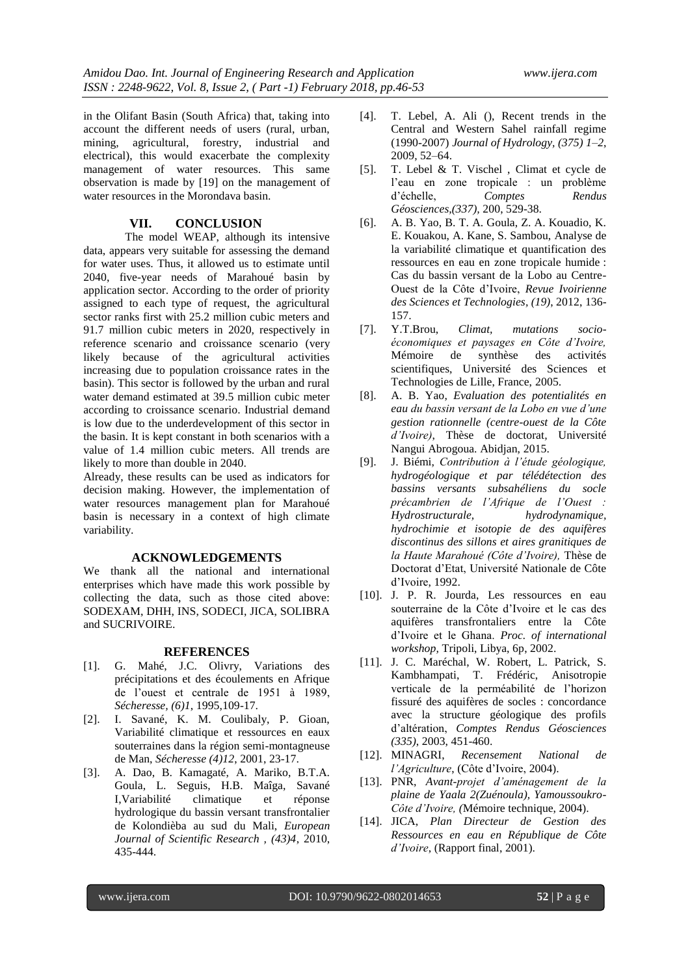in the Olifant Basin (South Africa) that, taking into account the different needs of users (rural, urban, mining, agricultural, forestry, industrial and electrical), this would exacerbate the complexity management of water resources. This same observation is made by [19] on the management of water resources in the Morondava basin.

## **VII. CONCLUSION**

The model WEAP, although its intensive data, appears very suitable for assessing the demand for water uses. Thus, it allowed us to estimate until 2040, five-year needs of Marahoué basin by application sector. According to the order of priority assigned to each type of request, the agricultural sector ranks first with 25.2 million cubic meters and 91.7 million cubic meters in 2020, respectively in reference scenario and croissance scenario (very likely because of the agricultural activities increasing due to population croissance rates in the basin). This sector is followed by the urban and rural water demand estimated at 39.5 million cubic meter according to croissance scenario. Industrial demand is low due to the underdevelopment of this sector in the basin. It is kept constant in both scenarios with a value of 1.4 million cubic meters. All trends are likely to more than double in 2040.

Already, these results can be used as indicators for decision making. However, the implementation of water resources management plan for Marahoué basin is necessary in a context of high climate variability.

#### **ACKNOWLEDGEMENTS**

We thank all the national and international enterprises which have made this work possible by collecting the data, such as those cited above: SODEXAM, DHH, INS, SODECI, JICA, SOLIBRA and SUCRIVOIRE.

#### **REFERENCES**

- [1]. G. Mahé, J.C. Olivry, Variations des précipitations et des écoulements en Afrique de l'ouest et centrale de 1951 à 1989, *Sécheresse, (6)1*, 1995,109-17.
- [2]. I. Savané, K. M. Coulibaly, P. Gioan, Variabilité climatique et ressources en eaux souterraines dans la région semi-montagneuse de Man, *Sécheresse (4)12*, 2001, 23-17.
- [3]. A. Dao, B. Kamagaté, A. Mariko, B.T.A. Goula, L. Seguis, H.B. Maîga, Savané I,Variabilité climatique et réponse hydrologique du bassin versant transfrontalier de Kolondièba au sud du Mali, *European Journal of Scientific Research , (43)4*, 2010, 435-444.
- [4]. T. Lebel, A. Ali (), Recent trends in the Central and Western Sahel rainfall regime (1990-2007) *Journal of Hydrology, (375) 1–2*, 2009, 52–64.
- [5]. T. Lebel & T. Vischel , Climat et cycle de l'eau en zone tropicale : un problème<br>d'échelle. Comptes Rendus  $Comptes$ *Géosciences,(337),* 200, 529-38.
- [6]. A. B. Yao, B. T. A. Goula, Z. A. Kouadio, K. E. Kouakou, A. Kane, S. Sambou, Analyse de la variabilité climatique et quantification des ressources en eau en zone tropicale humide : Cas du bassin versant de la Lobo au Centre-Ouest de la Côte d'Ivoire, *Revue Ivoirienne des Sciences et Technologies, (19)*, 2012, 136- 157.
- [7]. Y.T.Brou, *Climat, mutations socioéconomiques et paysages en Côte d'Ivoire,*  Mémoire de synthèse des activités scientifiques, Université des Sciences et Technologies de Lille, France, 2005.
- [8]. A. B. Yao, *Evaluation des potentialités en eau du bassin versant de la Lobo en vue d'une gestion rationnelle (centre-ouest de la Côte d'Ivoire)*, Thèse de doctorat*,* Université Nangui Abrogoua. Abidjan, 2015.
- [9]. J. Biémi, *Contribution à l'étude géologique, hydrogéologique et par télédétection des bassins versants subsahéliens du socle précambrien de l'Afrique de l'Ouest : Hydrostructurale, hydrodynamique, hydrochimie et isotopie de des aquifères discontinus des sillons et aires granitiques de la Haute Marahoué (Côte d'Ivoire),* Thèse de Doctorat d'Etat, Université Nationale de Côte d'Ivoire, 1992.
- [10]. J. P. R. Jourda, Les ressources en eau souterraine de la Côte d'Ivoire et le cas des aquifères transfrontaliers entre la Côte d'Ivoire et le Ghana. *Proc. of international workshop,* Tripoli, Libya, 6p, 2002.
- [11]. J. C. Maréchal, W. Robert, L. Patrick, S. Kambhampati, T. Frédéric, Anisotropie verticale de la perméabilité de l'horizon fissuré des aquifères de socles : concordance avec la structure géologique des profils d'altération, *Comptes Rendus Géosciences (335)*, 2003, 451-460.
- [12]. MINAGRI, *Recensement National de l'Agriculture*, (Côte d'Ivoire, 2004).
- [13]. PNR, *Avant-projet d'aménagement de la plaine de Yaala 2(Zuénoula), Yamoussoukro-Côte d'Ivoire, (*Mémoire technique, 2004).
- [14]. JICA, *Plan Directeur de Gestion des Ressources en eau en République de Côte d'Ivoire*, (Rapport final, 2001).